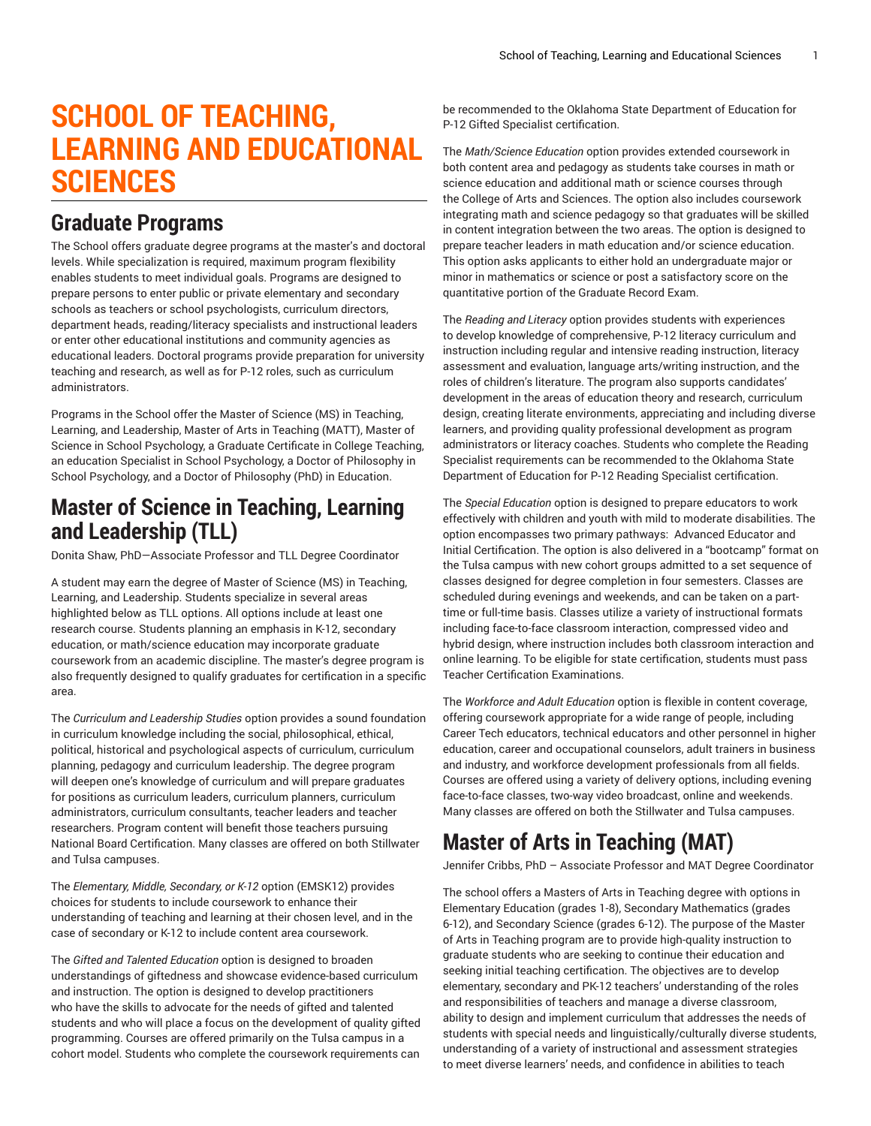# **SCHOOL OF TEACHING, LEARNING AND EDUCATIONAL SCIENCES**

#### **Graduate Programs**

The School offers graduate degree programs at the master's and doctoral levels. While specialization is required, maximum program flexibility enables students to meet individual goals. Programs are designed to prepare persons to enter public or private elementary and secondary schools as teachers or school psychologists, curriculum directors, department heads, reading/literacy specialists and instructional leaders or enter other educational institutions and community agencies as educational leaders. Doctoral programs provide preparation for university teaching and research, as well as for P-12 roles, such as curriculum administrators.

Programs in the School offer the Master of Science (MS) in Teaching, Learning, and Leadership, Master of Arts in Teaching (MATT), Master of Science in School Psychology, a Graduate Certificate in College Teaching, an education Specialist in School Psychology, a Doctor of Philosophy in School Psychology, and a Doctor of Philosophy (PhD) in Education.

#### **Master of Science in Teaching, Learning and Leadership (TLL)**

Donita Shaw, PhD—Associate Professor and TLL Degree Coordinator

A student may earn the degree of Master of Science (MS) in Teaching, Learning, and Leadership. Students specialize in several areas highlighted below as TLL options. All options include at least one research course. Students planning an emphasis in K-12, secondary education, or math/science education may incorporate graduate coursework from an academic discipline. The master's degree program is also frequently designed to qualify graduates for certification in a specific area.

The *Curriculum and Leadership Studies* option provides a sound foundation in curriculum knowledge including the social, philosophical, ethical, political, historical and psychological aspects of curriculum, curriculum planning, pedagogy and curriculum leadership. The degree program will deepen one's knowledge of curriculum and will prepare graduates for positions as curriculum leaders, curriculum planners, curriculum administrators, curriculum consultants, teacher leaders and teacher researchers. Program content will benefit those teachers pursuing National Board Certification. Many classes are offered on both Stillwater and Tulsa campuses.

The *Elementary, Middle, Secondary, or K-12* option (EMSK12) provides choices for students to include coursework to enhance their understanding of teaching and learning at their chosen level, and in the case of secondary or K-12 to include content area coursework.

The *Gifted and Talented Education* option is designed to broaden understandings of giftedness and showcase evidence-based curriculum and instruction. The option is designed to develop practitioners who have the skills to advocate for the needs of gifted and talented students and who will place a focus on the development of quality gifted programming. Courses are offered primarily on the Tulsa campus in a cohort model. Students who complete the coursework requirements can

be recommended to the Oklahoma State Department of Education for P-12 Gifted Specialist certification.

The *Math/Science Education* option provides extended coursework in both content area and pedagogy as students take courses in math or science education and additional math or science courses through the College of Arts and Sciences. The option also includes coursework integrating math and science pedagogy so that graduates will be skilled in content integration between the two areas. The option is designed to prepare teacher leaders in math education and/or science education. This option asks applicants to either hold an undergraduate major or minor in mathematics or science or post a satisfactory score on the quantitative portion of the Graduate Record Exam.

The *Reading and Literacy* option provides students with experiences to develop knowledge of comprehensive, P-12 literacy curriculum and instruction including regular and intensive reading instruction, literacy assessment and evaluation, language arts/writing instruction, and the roles of children's literature. The program also supports candidates' development in the areas of education theory and research, curriculum design, creating literate environments, appreciating and including diverse learners, and providing quality professional development as program administrators or literacy coaches. Students who complete the Reading Specialist requirements can be recommended to the Oklahoma State Department of Education for P-12 Reading Specialist certification.

The *Special Education* option is designed to prepare educators to work effectively with children and youth with mild to moderate disabilities. The option encompasses two primary pathways: Advanced Educator and Initial Certification. The option is also delivered in a "bootcamp" format on the Tulsa campus with new cohort groups admitted to a set sequence of classes designed for degree completion in four semesters. Classes are scheduled during evenings and weekends, and can be taken on a parttime or full-time basis. Classes utilize a variety of instructional formats including face-to-face classroom interaction, compressed video and hybrid design, where instruction includes both classroom interaction and online learning. To be eligible for state certification, students must pass Teacher Certification Examinations.

The *Workforce and Adult Education* option is flexible in content coverage, offering coursework appropriate for a wide range of people, including Career Tech educators, technical educators and other personnel in higher education, career and occupational counselors, adult trainers in business and industry, and workforce development professionals from all fields. Courses are offered using a variety of delivery options, including evening face-to-face classes, two-way video broadcast, online and weekends. Many classes are offered on both the Stillwater and Tulsa campuses.

### **Master of Arts in Teaching (MAT)**

Jennifer Cribbs, PhD – Associate Professor and MAT Degree Coordinator

The school offers a Masters of Arts in Teaching degree with options in Elementary Education (grades 1-8), Secondary Mathematics (grades 6-12), and Secondary Science (grades 6-12). The purpose of the Master of Arts in Teaching program are to provide high-quality instruction to graduate students who are seeking to continue their education and seeking initial teaching certification. The objectives are to develop elementary, secondary and PK-12 teachers' understanding of the roles and responsibilities of teachers and manage a diverse classroom, ability to design and implement curriculum that addresses the needs of students with special needs and linguistically/culturally diverse students, understanding of a variety of instructional and assessment strategies to meet diverse learners' needs, and confidence in abilities to teach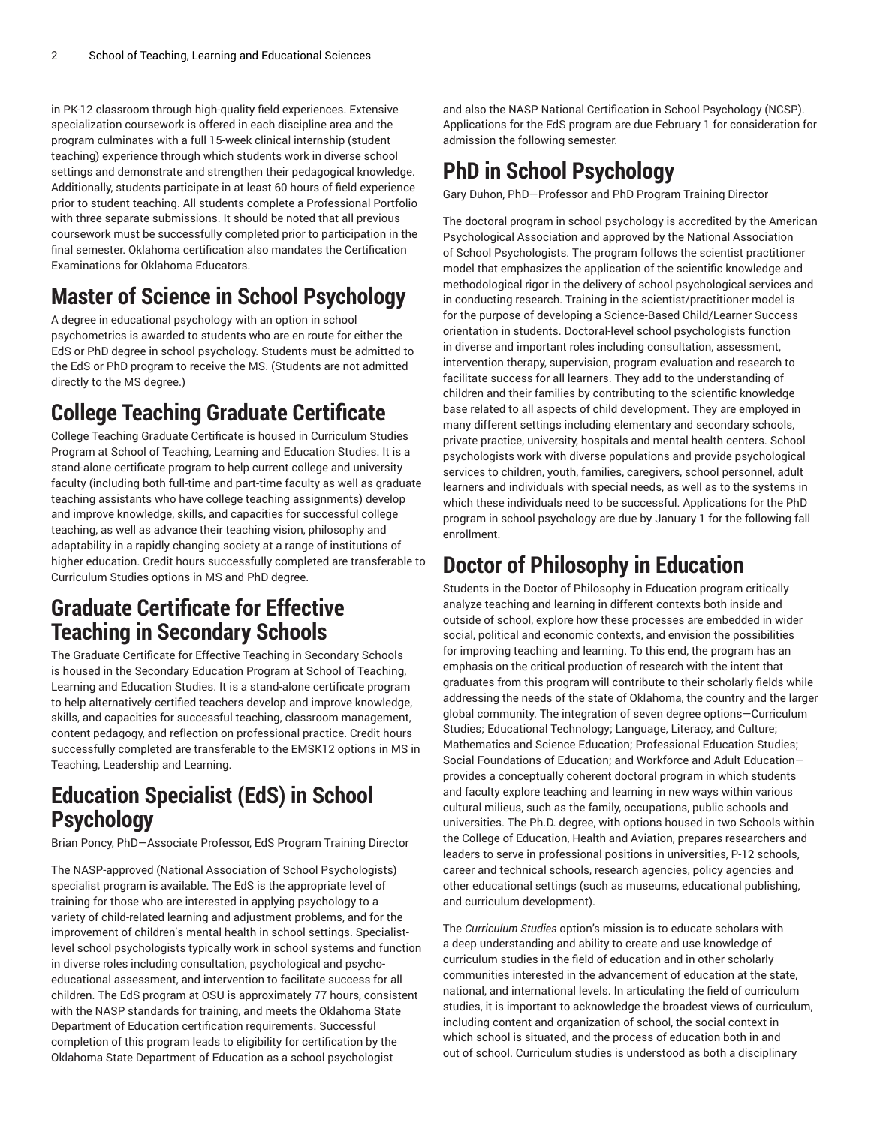in PK-12 classroom through high-quality field experiences. Extensive specialization coursework is offered in each discipline area and the program culminates with a full 15-week clinical internship (student teaching) experience through which students work in diverse school settings and demonstrate and strengthen their pedagogical knowledge. Additionally, students participate in at least 60 hours of field experience prior to student teaching. All students complete a Professional Portfolio with three separate submissions. It should be noted that all previous coursework must be successfully completed prior to participation in the final semester. Oklahoma certification also mandates the Certification Examinations for Oklahoma Educators.

# **Master of Science in School Psychology**

A degree in educational psychology with an option in school psychometrics is awarded to students who are en route for either the EdS or PhD degree in school psychology. Students must be admitted to the EdS or PhD program to receive the MS. (Students are not admitted directly to the MS degree.)

# **College Teaching Graduate Certificate**

College Teaching Graduate Certificate is housed in Curriculum Studies Program at School of Teaching, Learning and Education Studies. It is a stand-alone certificate program to help current college and university faculty (including both full-time and part-time faculty as well as graduate teaching assistants who have college teaching assignments) develop and improve knowledge, skills, and capacities for successful college teaching, as well as advance their teaching vision, philosophy and adaptability in a rapidly changing society at a range of institutions of higher education. Credit hours successfully completed are transferable to Curriculum Studies options in MS and PhD degree.

#### **Graduate Certificate for Effective Teaching in Secondary Schools**

The Graduate Certificate for Effective Teaching in Secondary Schools is housed in the Secondary Education Program at School of Teaching, Learning and Education Studies. It is a stand-alone certificate program to help alternatively-certified teachers develop and improve knowledge, skills, and capacities for successful teaching, classroom management, content pedagogy, and reflection on professional practice. Credit hours successfully completed are transferable to the EMSK12 options in MS in Teaching, Leadership and Learning.

#### **Education Specialist (EdS) in School Psychology**

Brian Poncy, PhD—Associate Professor, EdS Program Training Director

The NASP-approved (National Association of School Psychologists) specialist program is available. The EdS is the appropriate level of training for those who are interested in applying psychology to a variety of child-related learning and adjustment problems, and for the improvement of children's mental health in school settings. Specialistlevel school psychologists typically work in school systems and function in diverse roles including consultation, psychological and psychoeducational assessment, and intervention to facilitate success for all children. The EdS program at OSU is approximately 77 hours, consistent with the NASP standards for training, and meets the Oklahoma State Department of Education certification requirements. Successful completion of this program leads to eligibility for certification by the Oklahoma State Department of Education as a school psychologist

and also the NASP National Certification in School Psychology (NCSP). Applications for the EdS program are due February 1 for consideration for admission the following semester.

# **PhD in School Psychology**

Gary Duhon, PhD—Professor and PhD Program Training Director

The doctoral program in school psychology is accredited by the American Psychological Association and approved by the National Association of School Psychologists. The program follows the scientist practitioner model that emphasizes the application of the scientific knowledge and methodological rigor in the delivery of school psychological services and in conducting research. Training in the scientist/practitioner model is for the purpose of developing a Science-Based Child/Learner Success orientation in students. Doctoral-level school psychologists function in diverse and important roles including consultation, assessment, intervention therapy, supervision, program evaluation and research to facilitate success for all learners. They add to the understanding of children and their families by contributing to the scientific knowledge base related to all aspects of child development. They are employed in many different settings including elementary and secondary schools, private practice, university, hospitals and mental health centers. School psychologists work with diverse populations and provide psychological services to children, youth, families, caregivers, school personnel, adult learners and individuals with special needs, as well as to the systems in which these individuals need to be successful. Applications for the PhD program in school psychology are due by January 1 for the following fall enrollment.

## **Doctor of Philosophy in Education**

Students in the Doctor of Philosophy in Education program critically analyze teaching and learning in different contexts both inside and outside of school, explore how these processes are embedded in wider social, political and economic contexts, and envision the possibilities for improving teaching and learning. To this end, the program has an emphasis on the critical production of research with the intent that graduates from this program will contribute to their scholarly fields while addressing the needs of the state of Oklahoma, the country and the larger global community. The integration of seven degree options—Curriculum Studies; Educational Technology; Language, Literacy, and Culture; Mathematics and Science Education; Professional Education Studies; Social Foundations of Education; and Workforce and Adult Education provides a conceptually coherent doctoral program in which students and faculty explore teaching and learning in new ways within various cultural milieus, such as the family, occupations, public schools and universities. The Ph.D. degree, with options housed in two Schools within the College of Education, Health and Aviation, prepares researchers and leaders to serve in professional positions in universities, P-12 schools, career and technical schools, research agencies, policy agencies and other educational settings (such as museums, educational publishing, and curriculum development).

The *Curriculum Studies* option's mission is to educate scholars with a deep understanding and ability to create and use knowledge of curriculum studies in the field of education and in other scholarly communities interested in the advancement of education at the state, national, and international levels. In articulating the field of curriculum studies, it is important to acknowledge the broadest views of curriculum, including content and organization of school, the social context in which school is situated, and the process of education both in and out of school. Curriculum studies is understood as both a disciplinary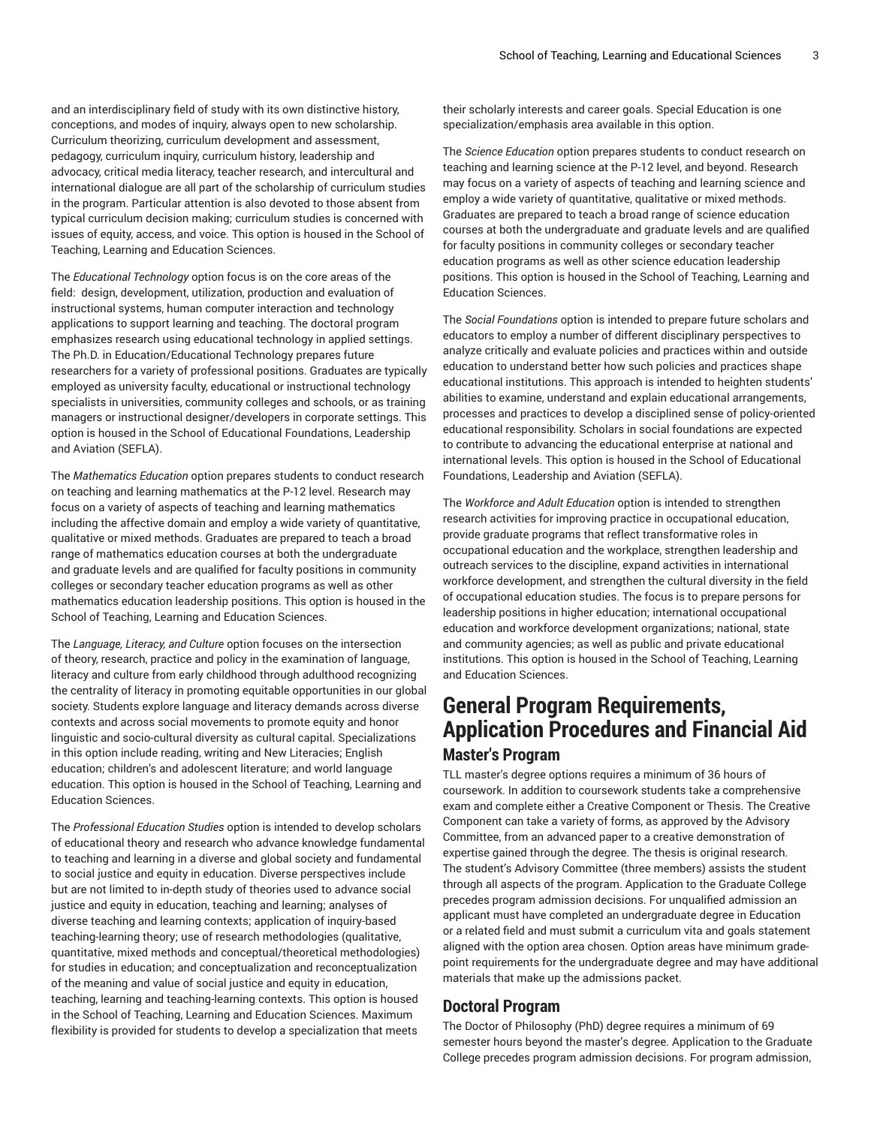and an interdisciplinary field of study with its own distinctive history, conceptions, and modes of inquiry, always open to new scholarship. Curriculum theorizing, curriculum development and assessment, pedagogy, curriculum inquiry, curriculum history, leadership and advocacy, critical media literacy, teacher research, and intercultural and international dialogue are all part of the scholarship of curriculum studies in the program. Particular attention is also devoted to those absent from typical curriculum decision making; curriculum studies is concerned with issues of equity, access, and voice. This option is housed in the School of Teaching, Learning and Education Sciences.

The *Educational Technology* option focus is on the core areas of the field: design, development, utilization, production and evaluation of instructional systems, human computer interaction and technology applications to support learning and teaching. The doctoral program emphasizes research using educational technology in applied settings. The Ph.D. in Education/Educational Technology prepares future researchers for a variety of professional positions. Graduates are typically employed as university faculty, educational or instructional technology specialists in universities, community colleges and schools, or as training managers or instructional designer/developers in corporate settings. This option is housed in the School of Educational Foundations, Leadership and Aviation (SEFLA).

The *Mathematics Education* option prepares students to conduct research on teaching and learning mathematics at the P-12 level. Research may focus on a variety of aspects of teaching and learning mathematics including the affective domain and employ a wide variety of quantitative, qualitative or mixed methods. Graduates are prepared to teach a broad range of mathematics education courses at both the undergraduate and graduate levels and are qualified for faculty positions in community colleges or secondary teacher education programs as well as other mathematics education leadership positions. This option is housed in the School of Teaching, Learning and Education Sciences.

The *Language, Literacy, and Culture* option focuses on the intersection of theory, research, practice and policy in the examination of language, literacy and culture from early childhood through adulthood recognizing the centrality of literacy in promoting equitable opportunities in our global society. Students explore language and literacy demands across diverse contexts and across social movements to promote equity and honor linguistic and socio-cultural diversity as cultural capital. Specializations in this option include reading, writing and New Literacies; English education; children's and adolescent literature; and world language education. This option is housed in the School of Teaching, Learning and Education Sciences.

The *Professional Education Studies* option is intended to develop scholars of educational theory and research who advance knowledge fundamental to teaching and learning in a diverse and global society and fundamental to social justice and equity in education. Diverse perspectives include but are not limited to in-depth study of theories used to advance social justice and equity in education, teaching and learning; analyses of diverse teaching and learning contexts; application of inquiry-based teaching-learning theory; use of research methodologies (qualitative, quantitative, mixed methods and conceptual/theoretical methodologies) for studies in education; and conceptualization and reconceptualization of the meaning and value of social justice and equity in education, teaching, learning and teaching-learning contexts. This option is housed in the School of Teaching, Learning and Education Sciences. Maximum flexibility is provided for students to develop a specialization that meets

their scholarly interests and career goals. Special Education is one specialization/emphasis area available in this option.

The *Science Education* option prepares students to conduct research on teaching and learning science at the P-12 level, and beyond. Research may focus on a variety of aspects of teaching and learning science and employ a wide variety of quantitative, qualitative or mixed methods. Graduates are prepared to teach a broad range of science education courses at both the undergraduate and graduate levels and are qualified for faculty positions in community colleges or secondary teacher education programs as well as other science education leadership positions. This option is housed in the School of Teaching, Learning and Education Sciences.

The *Social Foundations* option is intended to prepare future scholars and educators to employ a number of different disciplinary perspectives to analyze critically and evaluate policies and practices within and outside education to understand better how such policies and practices shape educational institutions. This approach is intended to heighten students' abilities to examine, understand and explain educational arrangements, processes and practices to develop a disciplined sense of policy-oriented educational responsibility. Scholars in social foundations are expected to contribute to advancing the educational enterprise at national and international levels. This option is housed in the School of Educational Foundations, Leadership and Aviation (SEFLA).

The *Workforce and Adult Education* option is intended to strengthen research activities for improving practice in occupational education, provide graduate programs that reflect transformative roles in occupational education and the workplace, strengthen leadership and outreach services to the discipline, expand activities in international workforce development, and strengthen the cultural diversity in the field of occupational education studies. The focus is to prepare persons for leadership positions in higher education; international occupational education and workforce development organizations; national, state and community agencies; as well as public and private educational institutions. This option is housed in the School of Teaching, Learning and Education Sciences.

#### **General Program Requirements, Application Procedures and Financial Aid Master's Program**

TLL master's degree options requires a minimum of 36 hours of coursework. In addition to coursework students take a comprehensive exam and complete either a Creative Component or Thesis. The Creative Component can take a variety of forms, as approved by the Advisory Committee, from an advanced paper to a creative demonstration of expertise gained through the degree. The thesis is original research. The student's Advisory Committee (three members) assists the student through all aspects of the program. Application to the Graduate College precedes program admission decisions. For unqualified admission an applicant must have completed an undergraduate degree in Education or a related field and must submit a curriculum vita and goals statement aligned with the option area chosen. Option areas have minimum gradepoint requirements for the undergraduate degree and may have additional materials that make up the admissions packet.

#### **Doctoral Program**

The Doctor of Philosophy (PhD) degree requires a minimum of 69 semester hours beyond the master's degree. Application to the Graduate College precedes program admission decisions. For program admission,